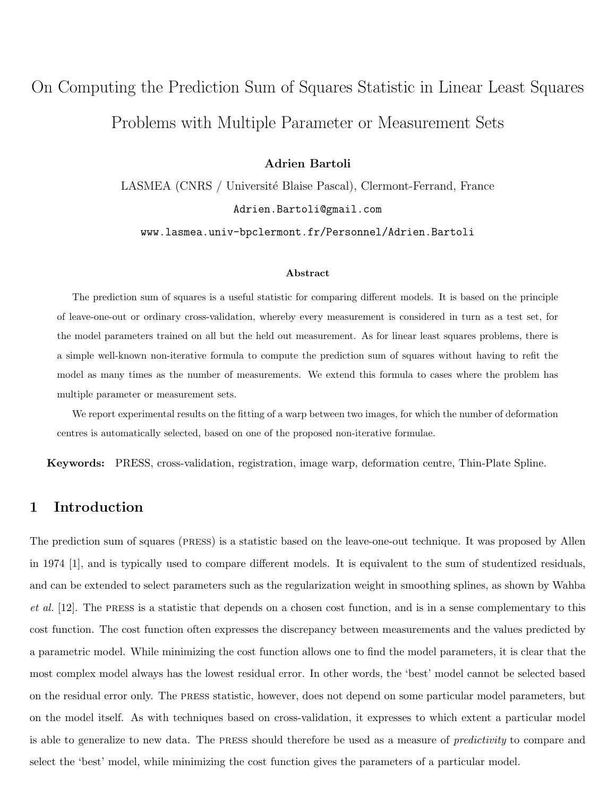# On Computing the Prediction Sum of Squares Statistic in Linear Least Squares Problems with Multiple Parameter or Measurement Sets

Adrien Bartoli

LASMEA (CNRS / Université Blaise Pascal), Clermont-Ferrand, France

Adrien.Bartoli@gmail.com

www.lasmea.univ-bpclermont.fr/Personnel/Adrien.Bartoli

#### Abstract

The prediction sum of squares is a useful statistic for comparing different models. It is based on the principle of leave-one-out or ordinary cross-validation, whereby every measurement is considered in turn as a test set, for the model parameters trained on all but the held out measurement. As for linear least squares problems, there is a simple well-known non-iterative formula to compute the prediction sum of squares without having to refit the model as many times as the number of measurements. We extend this formula to cases where the problem has multiple parameter or measurement sets.

We report experimental results on the fitting of a warp between two images, for which the number of deformation centres is automatically selected, based on one of the proposed non-iterative formulae.

Keywords: PRESS, cross-validation, registration, image warp, deformation centre, Thin-Plate Spline.

### 1 Introduction

The prediction sum of squares (press) is a statistic based on the leave-one-out technique. It was proposed by Allen in 1974 [1], and is typically used to compare different models. It is equivalent to the sum of studentized residuals, and can be extended to select parameters such as the regularization weight in smoothing splines, as shown by Wahba et al. [12]. The press is a statistic that depends on a chosen cost function, and is in a sense complementary to this cost function. The cost function often expresses the discrepancy between measurements and the values predicted by a parametric model. While minimizing the cost function allows one to find the model parameters, it is clear that the most complex model always has the lowest residual error. In other words, the 'best' model cannot be selected based on the residual error only. The press statistic, however, does not depend on some particular model parameters, but on the model itself. As with techniques based on cross-validation, it expresses to which extent a particular model is able to generalize to new data. The press should therefore be used as a measure of predictivity to compare and select the 'best' model, while minimizing the cost function gives the parameters of a particular model.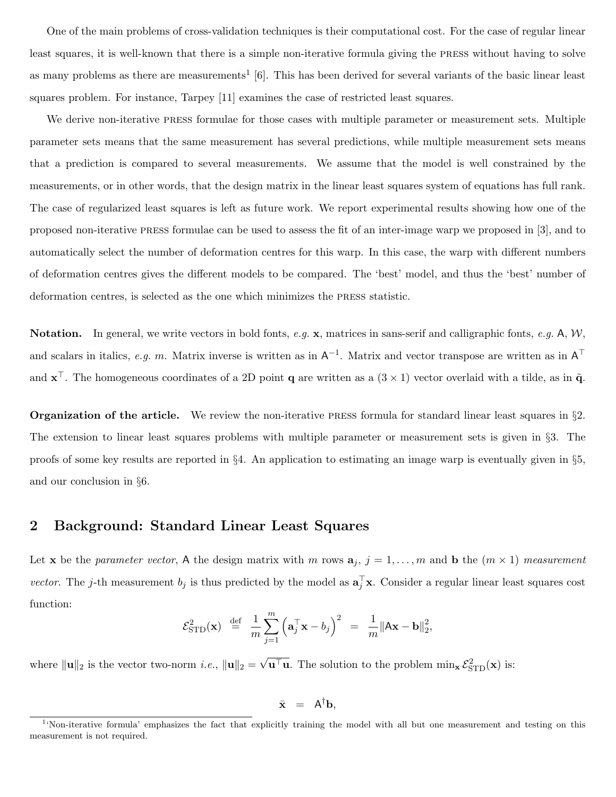One of the main problems of cross-validation techniques is their computational cost. For the case of regular linear least squares, it is well-known that there is a simple non-iterative formula giving the press without having to solve as many problems as there are measurements<sup>1</sup> [6]. This has been derived for several variants of the basic linear least squares problem. For instance, Tarpey [11] examines the case of restricted least squares.

We derive non-iterative press formulae for those cases with multiple parameter or measurement sets. Multiple parameter sets means that the same measurement has several predictions, while multiple measurement sets means that a prediction is compared to several measurements. We assume that the model is well constrained by the measurements, or in other words, that the design matrix in the linear least squares system of equations has full rank. The case of regularized least squares is left as future work. We report experimental results showing how one of the proposed non-iterative press formulae can be used to assess the fit of an inter-image warp we proposed in [3], and to automatically select the number of deformation centres for this warp. In this case, the warp with different numbers of deformation centres gives the different models to be compared. The 'best' model, and thus the 'best' number of deformation centres, is selected as the one which minimizes the press statistic.

**Notation.** In general, we write vectors in bold fonts, e.g.  $x$ , matrices in sans-serif and calligraphic fonts, e.g. A,  $W$ , and scalars in italics, e.g. m. Matrix inverse is written as in  $A^{-1}$ . Matrix and vector transpose are written as in  $A^{\top}$ and  $\mathbf{x}^{\top}$ . The homogeneous coordinates of a 2D point **q** are written as a  $(3 \times 1)$  vector overlaid with a tilde, as in  $\tilde{\mathbf{q}}$ .

**Organization of the article.** We review the non-iterative PRESS formula for standard linear least squares in  $\S$ 2. The extension to linear least squares problems with multiple parameter or measurement sets is given in §3. The proofs of some key results are reported in §4. An application to estimating an image warp is eventually given in §5, and our conclusion in §6.

## 2 Background: Standard Linear Least Squares

Let **x** be the parameter vector, A the design matrix with m rows  $a_j$ ,  $j = 1, ..., m$  and **b** the  $(m \times 1)$  measurement vector. The j-th measurement  $b_j$  is thus predicted by the model as  $\mathbf{a}_j^{\top}\mathbf{x}$ . Consider a regular linear least squares cost function:

$$
\mathcal{E}_{\text{STD}}^2(\mathbf{x}) \stackrel{\text{def}}{=} \frac{1}{m} \sum_{j=1}^m \left( \mathbf{a}_j^\top \mathbf{x} - b_j \right)^2 = \frac{1}{m} ||A\mathbf{x} - \mathbf{b}||_2^2,
$$

where  $\|\mathbf{u}\|_2$  is the vector two-norm *i.e.*,  $\|\mathbf{u}\|_2 =$ √  $\overline{\mathbf{u}^{\top} \mathbf{u}}$ . The solution to the problem  $\min_{\mathbf{x}} \mathcal{E}^2_{\text{STD}}(\mathbf{x})$  is:

$$
\bar{\mathbf{x}} = \mathsf{A}^{\dagger} \mathbf{b},
$$

<sup>&</sup>lt;sup>1</sup>'Non-iterative formula' emphasizes the fact that explicitly training the model with all but one measurement and testing on this measurement is not required.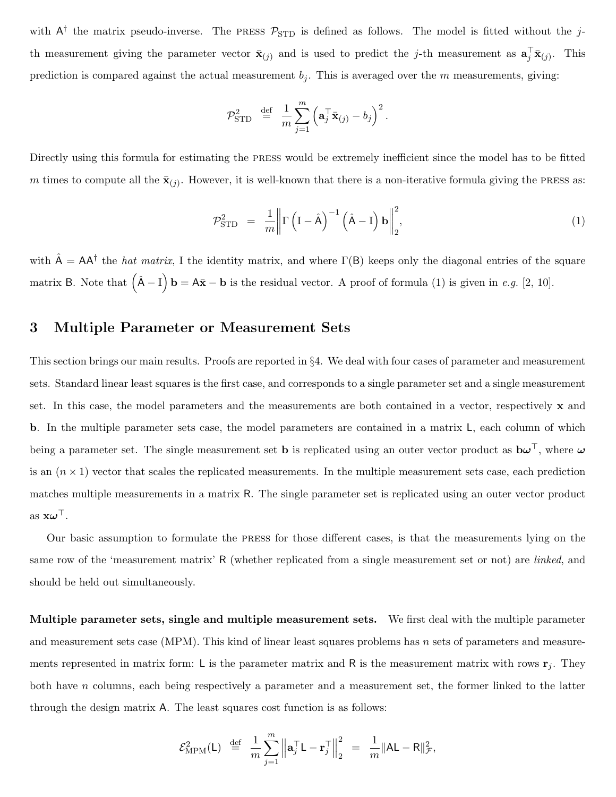with  $A^{\dagger}$  the matrix pseudo-inverse. The PRESS  $P_{\text{STD}}$  is defined as follows. The model is fitted without the jth measurement giving the parameter vector  $\bar{\mathbf{x}}_{(j)}$  and is used to predict the j-th measurement as  $\mathbf{a}_j^{\top} \bar{\mathbf{x}}_{(j)}$ . This prediction is compared against the actual measurement  $b_j$ . This is averaged over the m measurements, giving:

$$
\mathcal{P}_{\text{STD}}^2 \triangleq \frac{1}{m} \sum_{j=1}^m \left( \mathbf{a}_j^\top \bar{\mathbf{x}}_{(j)} - b_j \right)^2.
$$

Directly using this formula for estimating the press would be extremely inefficient since the model has to be fitted m times to compute all the  $\bar{\mathbf{x}}_{(j)}$ . However, it is well-known that there is a non-iterative formula giving the PRESS as:

$$
\mathcal{P}_{\text{STD}}^2 = \frac{1}{m} \left\| \Gamma \left( I - \hat{A} \right)^{-1} \left( \hat{A} - I \right) \mathbf{b} \right\|_2^2, \tag{1}
$$

with  $\hat{A} = AA^{\dagger}$  the *hat matrix*, I the identity matrix, and where  $\Gamma(B)$  keeps only the diagonal entries of the square matrix B. Note that  $(\hat{A} - I)$   $\mathbf{b} = A\bar{\mathbf{x}} - \mathbf{b}$  is the residual vector. A proof of formula (1) is given in e.g. [2, 10].

## 3 Multiple Parameter or Measurement Sets

This section brings our main results. Proofs are reported in §4. We deal with four cases of parameter and measurement sets. Standard linear least squares is the first case, and corresponds to a single parameter set and a single measurement set. In this case, the model parameters and the measurements are both contained in a vector, respectively x and b. In the multiple parameter sets case, the model parameters are contained in a matrix L, each column of which being a parameter set. The single measurement set **b** is replicated using an outer vector product as  $\mathbf{b}\omega^{\top}$ , where  $\omega$ is an  $(n \times 1)$  vector that scales the replicated measurements. In the multiple measurement sets case, each prediction matches multiple measurements in a matrix R. The single parameter set is replicated using an outer vector product as  $\mathbf{x}\boldsymbol{\omega}^\top$ .

Our basic assumption to formulate the press for those different cases, is that the measurements lying on the same row of the 'measurement matrix' R (whether replicated from a single measurement set or not) are *linked*, and should be held out simultaneously.

Multiple parameter sets, single and multiple measurement sets. We first deal with the multiple parameter and measurement sets case (MPM). This kind of linear least squares problems has n sets of parameters and measurements represented in matrix form: L is the parameter matrix and R is the measurement matrix with rows  $\mathbf{r}_i$ . They both have  $n$  columns, each being respectively a parameter and a measurement set, the former linked to the latter through the design matrix A. The least squares cost function is as follows:

$$
\mathcal{E}_{\text{MPM}}^2(\mathsf{L}) \stackrel{\text{def}}{=} \frac{1}{m} \sum_{j=1}^m \left\| \mathbf{a}_j^\top \mathsf{L} - \mathbf{r}_j^\top \right\|_2^2 = \frac{1}{m} \|\mathsf{AL} - \mathsf{R}\|_{\mathcal{F}}^2,
$$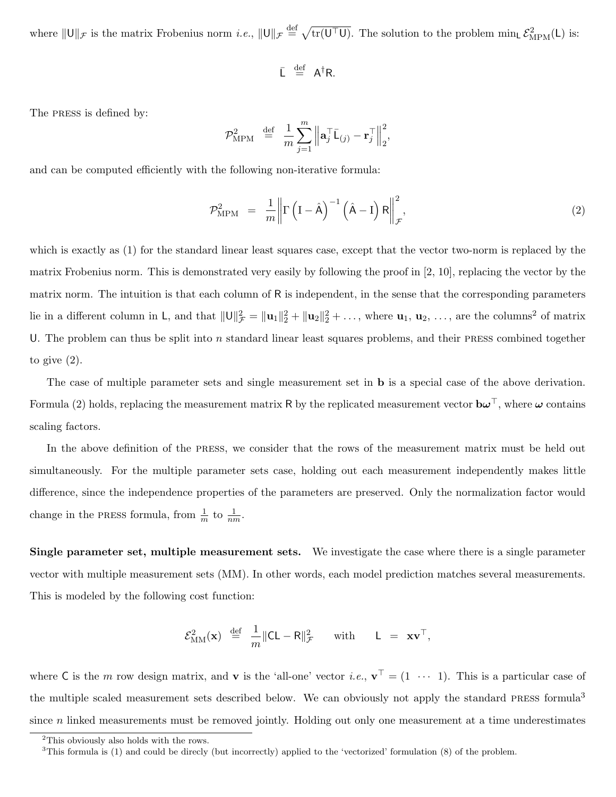where  $||U||_{\mathcal{F}}$  is the matrix Frobenius norm *i.e.*,  $||U||_{\mathcal{F}} \stackrel{\text{def}}{=} \sqrt{\text{tr}(U^{\top}U)}$ . The solution to the problem min<sub>L</sub>  $\mathcal{E}_{\text{MPM}}^2(L)$  is:

$$
\bar{L} \stackrel{\text{def}}{=} A^{\dagger}R.
$$

The press is defined by:

$$
\mathcal{P}_{\text{MPM}}^2 \;\; \stackrel{\text{def}}{=}\;\; \frac{1}{m}\sum_{j=1}^m \left\| \mathbf{a}_j^\top \bar{\mathsf{L}}_{(j)} - \mathbf{r}_j^\top \right\|_2^2,
$$

and can be computed efficiently with the following non-iterative formula:

$$
\mathcal{P}_{\text{MPM}}^2 = \frac{1}{m} \left\| \Gamma \left( I - \hat{A} \right)^{-1} \left( \hat{A} - I \right) R \right\|_{\mathcal{F}}^2, \tag{2}
$$

which is exactly as (1) for the standard linear least squares case, except that the vector two-norm is replaced by the matrix Frobenius norm. This is demonstrated very easily by following the proof in [2, 10], replacing the vector by the matrix norm. The intuition is that each column of R is independent, in the sense that the corresponding parameters lie in a different column in L, and that  $||\mathbf{U}||^2_{\mathcal{F}} = ||\mathbf{u}_1||^2_2 + ||\mathbf{u}_2||^2_2 + \dots$ , where  $\mathbf{u}_1, \mathbf{u}_2, \dots$ , are the columns<sup>2</sup> of matrix U. The problem can thus be split into n standard linear least squares problems, and their PRESS combined together to give (2).

The case of multiple parameter sets and single measurement set in b is a special case of the above derivation. Formula (2) holds, replacing the measurement matrix R by the replicated measurement vector  $b\omega^\top$ , where  $\omega$  contains scaling factors.

In the above definition of the press, we consider that the rows of the measurement matrix must be held out simultaneously. For the multiple parameter sets case, holding out each measurement independently makes little difference, since the independence properties of the parameters are preserved. Only the normalization factor would change in the PRESS formula, from  $\frac{1}{m}$  to  $\frac{1}{nm}$ .

Single parameter set, multiple measurement sets. We investigate the case where there is a single parameter vector with multiple measurement sets (MM). In other words, each model prediction matches several measurements. This is modeled by the following cost function:

$$
\mathcal{E}^2_{\text{MM}}(\mathbf{x}) ~\stackrel{\text{def}}{=}~ \frac{1}{m}\|\mathsf{CL}-\mathsf{R}\|_\mathcal{F}^2 \qquad \text{with} \qquad \mathsf{L}~=~\mathbf{x}\mathbf{v}^\top,
$$

where C is the m row design matrix, and v is the 'all-one' vector *i.e.*,  $\mathbf{v}^{\top} = (1 \cdots 1)$ . This is a particular case of the multiple scaled measurement sets described below. We can obviously not apply the standard PRESS formula<sup>3</sup> since n linked measurements must be removed jointly. Holding out only one measurement at a time underestimates

<sup>&</sup>lt;sup>2</sup>This obviously also holds with the rows.

<sup>3</sup>This formula is (1) and could be direcly (but incorrectly) applied to the 'vectorized' formulation (8) of the problem.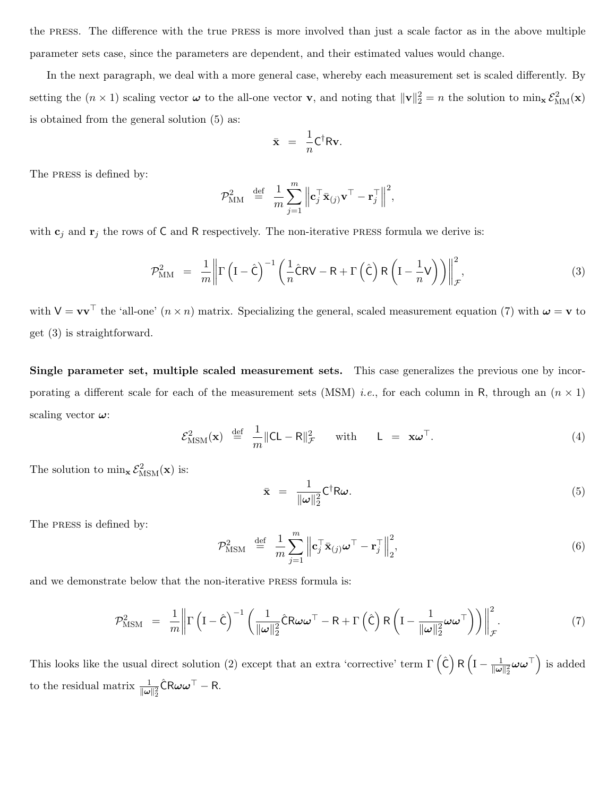the press. The difference with the true press is more involved than just a scale factor as in the above multiple parameter sets case, since the parameters are dependent, and their estimated values would change.

In the next paragraph, we deal with a more general case, whereby each measurement set is scaled differently. By setting the  $(n \times 1)$  scaling vector  $\boldsymbol{\omega}$  to the all-one vector **v**, and noting that  $\|\mathbf{v}\|_2^2 = n$  the solution to  $\min_{\mathbf{x}} \mathcal{E}_{\text{MM}}^2(\mathbf{x})$ is obtained from the general solution (5) as:

$$
\bar{\mathbf{x}} = \frac{1}{n} \mathsf{C}^{\dagger} \mathsf{R} \mathbf{v}.
$$

The press is defined by:

$$
\mathcal{P}^2_{\text{MM}} \;\; \stackrel{\text{def}}{=} \;\; \frac{1}{m} \sum_{j=1}^m \Big\| \mathbf{c}_j^\top \bar{\mathbf{x}}_{(j)} \mathbf{v}^\top - \mathbf{r}_j^\top \Big\|^2,
$$

with  $c_j$  and  $r_j$  the rows of C and R respectively. The non-iterative PRESS formula we derive is:

$$
\mathcal{P}_{\text{MM}}^2 = \frac{1}{m} \left\| \Gamma \left( I - \hat{C} \right)^{-1} \left( \frac{1}{n} \hat{C} R V - R + \Gamma \left( \hat{C} \right) R \left( I - \frac{1}{n} V \right) \right) \right\|_{\mathcal{F}}^2, \tag{3}
$$

with  $V = v v^{\top}$  the 'all-one'  $(n \times n)$  matrix. Specializing the general, scaled measurement equation (7) with  $\omega = v$  to get (3) is straightforward.

Single parameter set, multiple scaled measurement sets. This case generalizes the previous one by incorporating a different scale for each of the measurement sets (MSM) *i.e.*, for each column in R, through an  $(n \times 1)$ scaling vector  $\omega$ :

$$
\mathcal{E}_{\text{MSM}}^2(\mathbf{x}) \stackrel{\text{def}}{=} \frac{1}{m} \| \mathsf{CL} - \mathsf{R} \|^2_{\mathcal{F}} \quad \text{with} \quad \mathsf{L} = \mathbf{x} \boldsymbol{\omega}^\top. \tag{4}
$$

The solution to  $\min_{\mathbf{x}} \mathcal{E}_{\text{MSM}}^2(\mathbf{x})$  is:

$$
\bar{\mathbf{x}} = \frac{1}{\|\boldsymbol{\omega}\|_2^2} \mathsf{C}^\dagger \mathsf{R} \boldsymbol{\omega}.
$$
 (5)

The press is defined by:

$$
\mathcal{P}_{\text{MSM}}^2 \stackrel{\text{def}}{=} \frac{1}{m} \sum_{j=1}^m \left\| \mathbf{c}_j^\top \bar{\mathbf{x}}_{(j)} \boldsymbol{\omega}^\top - \mathbf{r}_j^\top \right\|_2^2, \tag{6}
$$

and we demonstrate below that the non-iterative press formula is:

$$
\mathcal{P}_{\text{MSM}}^2 = \frac{1}{m} \left\| \Gamma \left( I - \hat{C} \right)^{-1} \left( \frac{1}{\|\omega\|_2^2} \hat{C} R \omega \omega^\top - R + \Gamma \left( \hat{C} \right) R \left( I - \frac{1}{\|\omega\|_2^2} \omega \omega^\top \right) \right) \right\|_{\mathcal{F}}^2. \tag{7}
$$

This looks like the usual direct solution (2) except that an extra 'corrective' term  $\Gamma(\hat{C}) R (I - \frac{1}{\ln A})$  $\frac{1}{\|\boldsymbol{\omega}\|_2^2} \boldsymbol{\omega} \boldsymbol{\omega}^\top \Big)$  is added to the residual matrix  $\frac{1}{\|\boldsymbol{\omega}\|_2^2} \hat{\mathsf{C}} \mathsf{R} \boldsymbol{\omega} \boldsymbol{\omega}^\top - \mathsf{R}$ .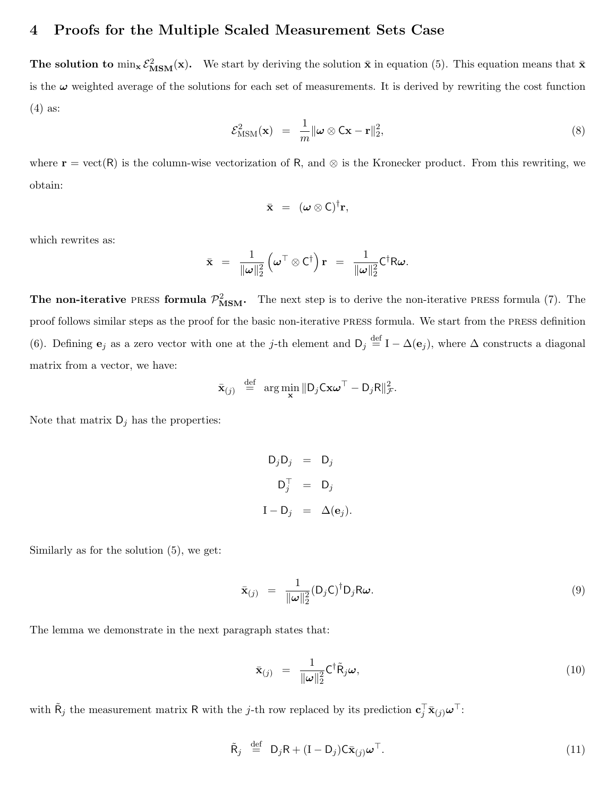# 4 Proofs for the Multiple Scaled Measurement Sets Case

The solution to  $\min_{\mathbf{x}} \mathcal{E}_{\text{MSM}}^2(\mathbf{x})$ . We start by deriving the solution  $\bar{\mathbf{x}}$  in equation (5). This equation means that  $\bar{\mathbf{x}}$ is the  $\omega$  weighted average of the solutions for each set of measurements. It is derived by rewriting the cost function (4) as:

$$
\mathcal{E}_{\text{MSM}}^2(\mathbf{x}) = \frac{1}{m} \|\boldsymbol{\omega} \otimes \mathbf{C}\mathbf{x} - \mathbf{r}\|_2^2, \tag{8}
$$

where  $\mathbf{r} = \text{vect}(\mathsf{R})$  is the column-wise vectorization of R, and ⊗ is the Kronecker product. From this rewriting, we obtain:

$$
\bar{\mathbf{x}} = (\boldsymbol{\omega} \otimes \mathsf{C})^{\dagger} \mathbf{r},
$$

which rewrites as:

$$
\bar{\mathbf{x}} = \frac{1}{\|\boldsymbol{\omega}\|_2^2} \left( \boldsymbol{\omega}^\top \otimes \mathsf{C}^\dagger \right) \mathbf{r} = \frac{1}{\|\boldsymbol{\omega}\|_2^2} \mathsf{C}^\dagger \mathsf{R} \boldsymbol{\omega}.
$$

The non-iterative PRESS formula  $\mathcal{P}_{\text{MSM}}^2$ . The next step is to derive the non-iterative PRESS formula (7). The proof follows similar steps as the proof for the basic non-iterative press formula. We start from the press definition (6). Defining  $\mathbf{e}_j$  as a zero vector with one at the j-th element and  $D_j \stackrel{\text{def}}{=} I - \Delta(\mathbf{e}_j)$ , where  $\Delta$  constructs a diagonal matrix from a vector, we have:

$$
\bar{\mathbf{x}}_{(j)} \stackrel{\text{def}}{=} \arg \min_{\mathbf{x}} \| \mathsf{D}_j \mathsf{C} \mathbf{x} \boldsymbol{\omega}^\top - \mathsf{D}_j \mathsf{R} \|^2_{\mathcal{F}}.
$$

Note that matrix  $D_j$  has the properties:

$$
D_j D_j = D_j
$$
  

$$
D_j^{\top} = D_j
$$
  

$$
I - D_j = \Delta(e_j).
$$

Similarly as for the solution (5), we get:

$$
\bar{\mathbf{x}}_{(j)} = \frac{1}{\|\boldsymbol{\omega}\|_2^2} (\mathsf{D}_j \mathsf{C})^\dagger \mathsf{D}_j \mathsf{R} \boldsymbol{\omega}.
$$
\n(9)

The lemma we demonstrate in the next paragraph states that:

$$
\bar{\mathbf{x}}_{(j)} = \frac{1}{\|\boldsymbol{\omega}\|_2^2} \mathsf{C}^\dagger \tilde{\mathsf{R}}_j \boldsymbol{\omega},\tag{10}
$$

with  $\tilde{R}_j$  the measurement matrix R with the j-th row replaced by its prediction  $\mathbf{c}_j^{\top} \bar{\mathbf{x}}_{(j)} \boldsymbol{\omega}^{\top}$ :

$$
\tilde{\mathsf{R}}_j \stackrel{\text{def}}{=} \mathsf{D}_j \mathsf{R} + (\mathsf{I} - \mathsf{D}_j) \mathsf{C} \bar{\mathbf{x}}_{(j)} \boldsymbol{\omega}^\top. \tag{11}
$$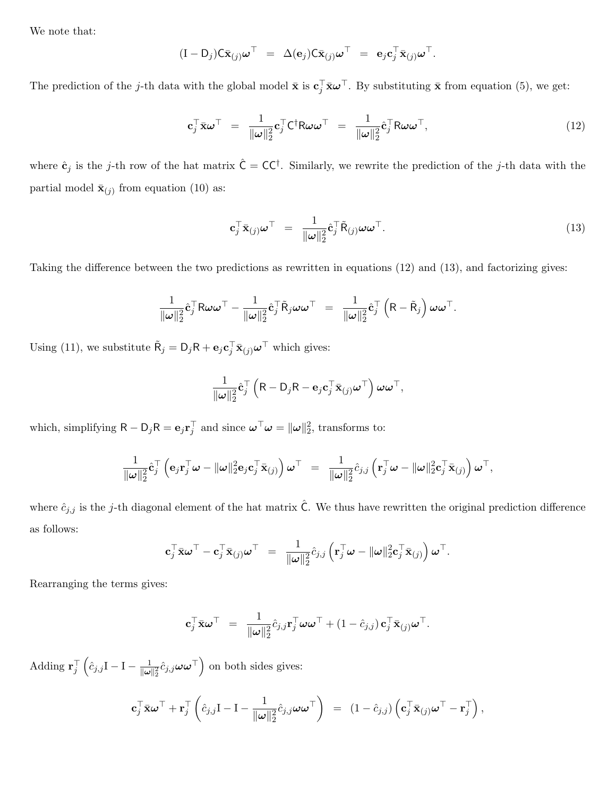We note that:

$$
(\mathrm{I} - \mathrm{D}_j) \mathrm{C} \bar{\mathbf{x}}_{(j)} \boldsymbol{\omega}^{\top} = \Delta(\mathbf{e}_j) \mathrm{C} \bar{\mathbf{x}}_{(j)} \boldsymbol{\omega}^{\top} = \mathbf{e}_j \mathbf{c}_j^{\top} \bar{\mathbf{x}}_{(j)} \boldsymbol{\omega}^{\top}.
$$

The prediction of the j-th data with the global model  $\bar{\mathbf{x}}$  is  $\mathbf{c}_j^{\top} \bar{\mathbf{x}} \boldsymbol{\omega}^{\top}$ . By substituting  $\bar{\mathbf{x}}$  from equation (5), we get:

$$
\mathbf{c}_{j}^{\top} \bar{\mathbf{x}} \boldsymbol{\omega}^{\top} = \frac{1}{\|\boldsymbol{\omega}\|_{2}^{2}} \mathbf{c}_{j}^{\top} \mathbf{C}^{\dagger} \mathbf{R} \boldsymbol{\omega} \boldsymbol{\omega}^{\top} = \frac{1}{\|\boldsymbol{\omega}\|_{2}^{2}} \hat{\mathbf{c}}_{j}^{\top} \mathbf{R} \boldsymbol{\omega} \boldsymbol{\omega}^{\top},
$$
\n(12)

where  $\hat{\mathbf{c}}_j$  is the j-th row of the hat matrix  $\hat{\mathbf{C}} = \mathbf{C} \mathbf{C}^{\dagger}$ . Similarly, we rewrite the prediction of the j-th data with the partial model  $\bar{\mathbf{x}}_{(j)}$  from equation (10) as:

$$
\mathbf{c}_{j}^{\top}\bar{\mathbf{x}}_{(j)}\boldsymbol{\omega}^{\top} = \frac{1}{\|\boldsymbol{\omega}\|_{2}^{2}}\hat{\mathbf{c}}_{j}^{\top}\tilde{\mathsf{R}}_{(j)}\boldsymbol{\omega}\boldsymbol{\omega}^{\top}.
$$
\n(13)

Taking the difference between the two predictions as rewritten in equations (12) and (13), and factorizing gives:

$$
\frac{1}{\|\omega\|_2^2} \hat{\mathbf{c}}_j^\top \mathsf{R} \omega \omega^\top - \frac{1}{\|\omega\|_2^2} \hat{\mathbf{c}}_j^\top \tilde{\mathsf{R}}_j \omega \omega^\top = \frac{1}{\|\omega\|_2^2} \hat{\mathbf{c}}_j^\top \left(\mathsf{R} - \tilde{\mathsf{R}}_j\right) \omega \omega^\top.
$$

Using (11), we substitute  $\tilde{R}_j = D_j R + \mathbf{e}_j \mathbf{c}_j^{\top} \bar{\mathbf{x}}_{(j)} \boldsymbol{\omega}^{\top}$  which gives:

$$
\frac{1}{\|\boldsymbol{\omega}\|_2^2} \mathbf{\hat{c}}_j^\top \left(\mathsf{R} - \mathsf{D}_j \mathsf{R} - \mathbf{e}_j \mathbf{c}_j^\top \bar{\mathbf{x}}_{(j)} \boldsymbol{\omega}^\top\right) \boldsymbol{\omega} \boldsymbol{\omega}^\top,
$$

which, simplifying  $R - D_j R = e_j r_j^{\top}$  and since  $\boldsymbol{\omega}^{\top} \boldsymbol{\omega} = ||\boldsymbol{\omega}||_2^2$ , transforms to:

$$
\frac{1}{\|\boldsymbol{\omega}\|_2^2} \hat{\mathbf{c}}_j^\top \left(\mathbf{e}_j \mathbf{r}_j^\top \boldsymbol{\omega} - \|\boldsymbol{\omega}\|_2^2 \mathbf{e}_j \mathbf{c}_j^\top \bar{\mathbf{x}}_{(j)}\right) \boldsymbol{\omega}^\top = \frac{1}{\|\boldsymbol{\omega}\|_2^2} \hat{c}_{j,j} \left(\mathbf{r}_j^\top \boldsymbol{\omega} - \|\boldsymbol{\omega}\|_2^2 \mathbf{c}_j^\top \bar{\mathbf{x}}_{(j)}\right) \boldsymbol{\omega}^\top,
$$

where  $\hat{c}_{j,j}$  is the j-th diagonal element of the hat matrix  $\hat{C}$ . We thus have rewritten the original prediction difference as follows:

$$
\mathbf{c}_j^\top \bar{\mathbf{x}} \boldsymbol{\omega}^\top - \mathbf{c}_j^\top \bar{\mathbf{x}}_{(j)} \boldsymbol{\omega}^\top = \frac{1}{\|\boldsymbol{\omega}\|_2^2} \hat{c}_{j,j} \left( \mathbf{r}_j^\top \boldsymbol{\omega} - \|\boldsymbol{\omega}\|_2^2 \mathbf{c}_j^\top \bar{\mathbf{x}}_{(j)} \right) \boldsymbol{\omega}^\top.
$$

Rearranging the terms gives:

$$
\mathbf{c}_j^\top \bar{\mathbf{x}} \boldsymbol{\omega}^\top = \frac{1}{\|\boldsymbol{\omega}\|_2^2} \hat{c}_{j,j} \mathbf{r}_j^\top \boldsymbol{\omega} \boldsymbol{\omega}^\top + (1 - \hat{c}_{j,j}) \, \mathbf{c}_j^\top \bar{\mathbf{x}}_{(j)} \boldsymbol{\omega}^\top.
$$

Adding  $\mathbf{r}_j^{\top} \left( \hat{c}_{j,j} \mathrm{I} - \mathrm{I} - \frac{1}{\|\boldsymbol{\omega}\|} \right)$  $\frac{1}{\|\boldsymbol{\omega}\|_2^2} \hat{c}_{j,j} \boldsymbol{\omega} \boldsymbol{\omega}^\top$  on both sides gives:

$$
\mathbf{c}_j^\top \bar{\mathbf{x}} \boldsymbol{\omega}^\top + \mathbf{r}_j^\top \left( \hat{c}_{j,j} \mathbf{I} - \mathbf{I} - \frac{1}{\|\boldsymbol{\omega}\|_2^2} \hat{c}_{j,j} \boldsymbol{\omega} \boldsymbol{\omega}^\top \right) = (1 - \hat{c}_{j,j}) \left( \mathbf{c}_j^\top \bar{\mathbf{x}}_{(j)} \boldsymbol{\omega}^\top - \mathbf{r}_j^\top \right),
$$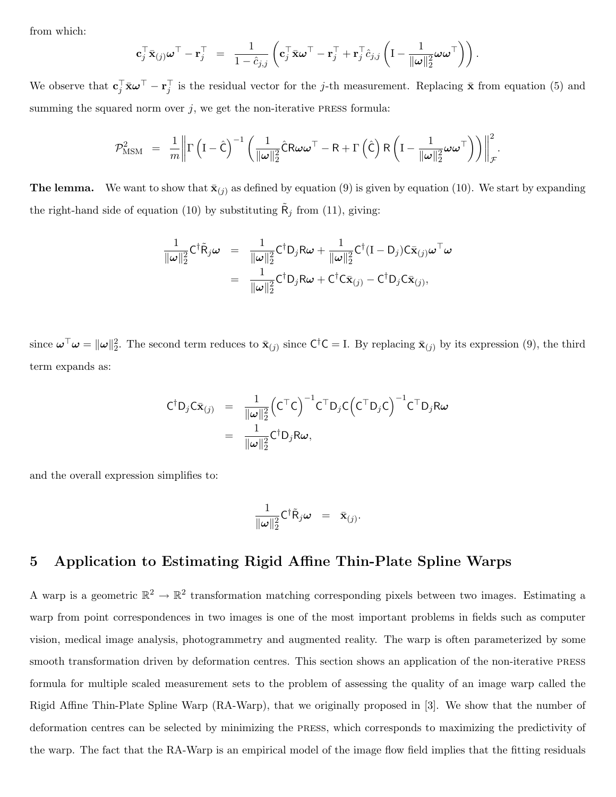from which:

$$
\mathbf{c}_j^{\top} \bar{\mathbf{x}}_{(j)} \boldsymbol{\omega}^{\top} - \mathbf{r}_j^{\top} = \frac{1}{1 - \hat{c}_{j,j}} \left( \mathbf{c}_j^{\top} \bar{\mathbf{x}} \boldsymbol{\omega}^{\top} - \mathbf{r}_j^{\top} + \mathbf{r}_j^{\top} \hat{c}_{j,j} \left( \mathbf{I} - \frac{1}{\|\boldsymbol{\omega}\|_2^2} \boldsymbol{\omega} \boldsymbol{\omega}^{\top} \right) \right).
$$

We observe that  $\mathbf{c}_j^{\top} \bar{\mathbf{x}} \boldsymbol{\omega}^{\top} - \mathbf{r}_j^{\top}$  is the residual vector for the *j*-th measurement. Replacing  $\bar{\mathbf{x}}$  from equation (5) and summing the squared norm over  $j$ , we get the non-iterative PRESS formula:

$$
\mathcal{P}_{\text{MSM}}^2 = \frac{1}{m} \left\| \Gamma \left( I - \hat{C} \right)^{-1} \left( \frac{1}{\|\omega\|_2^2} \hat{C} R \omega \omega^\top - R + \Gamma \left( \hat{C} \right) R \left( I - \frac{1}{\|\omega\|_2^2} \omega \omega^\top \right) \right) \right\|_{\mathcal{F}}^2.
$$

**The lemma.** We want to show that  $\bar{\mathbf{x}}_{(j)}$  as defined by equation (9) is given by equation (10). We start by expanding the right-hand side of equation (10) by substituting  $\tilde{R}_j$  from (11), giving:

$$
\frac{1}{\|\omega\|_2^2} C^{\dagger} \tilde{R}_j \omega = \frac{1}{\|\omega\|_2^2} C^{\dagger} D_j R \omega + \frac{1}{\|\omega\|_2^2} C^{\dagger} (I - D_j) C \bar{\mathbf{x}}_{(j)} \omega^{\top} \omega \n= \frac{1}{\|\omega\|_2^2} C^{\dagger} D_j R \omega + C^{\dagger} C \bar{\mathbf{x}}_{(j)} - C^{\dagger} D_j C \bar{\mathbf{x}}_{(j)},
$$

since  $\boldsymbol{\omega}^{\top}\boldsymbol{\omega} = \|\boldsymbol{\omega}\|_2^2$ . The second term reduces to  $\bar{\mathbf{x}}_{(j)}$  since  $\mathsf{C}^{\dagger}\mathsf{C} = \mathsf{I}$ . By replacing  $\bar{\mathbf{x}}_{(j)}$  by its expression (9), the third term expands as:

$$
C^{\dagger}D_{j}C\bar{\mathbf{x}}_{(j)} = \frac{1}{\|\boldsymbol{\omega}\|_{2}^{2}} \Big(C^{\top}C\Big)^{-1}C^{\top}D_{j}C\Big(C^{\top}D_{j}C\Big)^{-1}C^{\top}D_{j}R\boldsymbol{\omega}
$$
  
= 
$$
\frac{1}{\|\boldsymbol{\omega}\|_{2}^{2}}C^{\dagger}D_{j}R\boldsymbol{\omega},
$$

and the overall expression simplifies to:

$$
\frac{1}{\|\boldsymbol{\omega}\|_2^2} \mathsf{C}^\dagger \tilde{\mathsf{R}}_j \boldsymbol{\omega} = \bar{\mathbf{x}}_{(j)}.
$$

## 5 Application to Estimating Rigid Affine Thin-Plate Spline Warps

A warp is a geometric  $\mathbb{R}^2 \to \mathbb{R}^2$  transformation matching corresponding pixels between two images. Estimating a warp from point correspondences in two images is one of the most important problems in fields such as computer vision, medical image analysis, photogrammetry and augmented reality. The warp is often parameterized by some smooth transformation driven by deformation centres. This section shows an application of the non-iterative press formula for multiple scaled measurement sets to the problem of assessing the quality of an image warp called the Rigid Affine Thin-Plate Spline Warp (RA-Warp), that we originally proposed in [3]. We show that the number of deformation centres can be selected by minimizing the press, which corresponds to maximizing the predictivity of the warp. The fact that the RA-Warp is an empirical model of the image flow field implies that the fitting residuals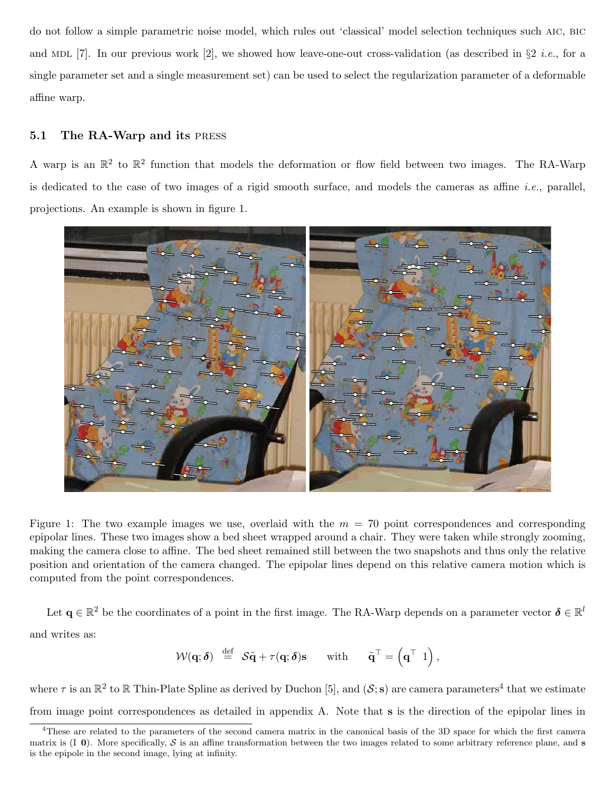do not follow a simple parametric noise model, which rules out 'classical' model selection techniques such aic, bic and MDL [7]. In our previous work [2], we showed how leave-one-out cross-validation (as described in §2 *i.e.*, for a single parameter set and a single measurement set) can be used to select the regularization parameter of a deformable affine warp.

#### 5.1 The RA-Warp and its press

A warp is an  $\mathbb{R}^2$  to  $\mathbb{R}^2$  function that models the deformation or flow field between two images. The RA-Warp is dedicated to the case of two images of a rigid smooth surface, and models the cameras as affine *i.e.*, parallel, projections. An example is shown in figure 1.



Figure 1: The two example images we use, overlaid with the  $m = 70$  point correspondences and corresponding epipolar lines. These two images show a bed sheet wrapped around a chair. They were taken while strongly zooming, making the camera close to affine. The bed sheet remained still between the two snapshots and thus only the relative position and orientation of the camera changed. The epipolar lines depend on this relative camera motion which is computed from the point correspondences.

Let  $\mathbf{q} \in \mathbb{R}^2$  be the coordinates of a point in the first image. The RA-Warp depends on a parameter vector  $\boldsymbol{\delta} \in \mathbb{R}^l$ and writes as:

$$
\mathcal{W}(\mathbf{q};\boldsymbol{\delta})\;\;\stackrel{\mathrm{def}}{=}\;\;\mathcal{S}\tilde{\mathbf{q}}+\tau(\mathbf{q};\boldsymbol{\delta})\mathbf{s}\qquad\text{with}\qquad\tilde{\mathbf{q}}^\top=\left(\mathbf{q}^\top\;\,1\right),
$$

where  $\tau$  is an  $\mathbb{R}^2$  to  $\mathbb R$  Thin-Plate Spline as derived by Duchon [5], and  $(\mathcal{S}; \mathbf{s})$  are camera parameters<sup>4</sup> that we estimate from image point correspondences as detailed in appendix A. Note that s is the direction of the epipolar lines in

<sup>&</sup>lt;sup>4</sup>These are related to the parameters of the second camera matrix in the canonical basis of the 3D space for which the first camera matrix is  $(1 0)$ . More specifically, S is an affine transformation between the two images related to some arbitrary reference plane, and s is the epipole in the second image, lying at infinity.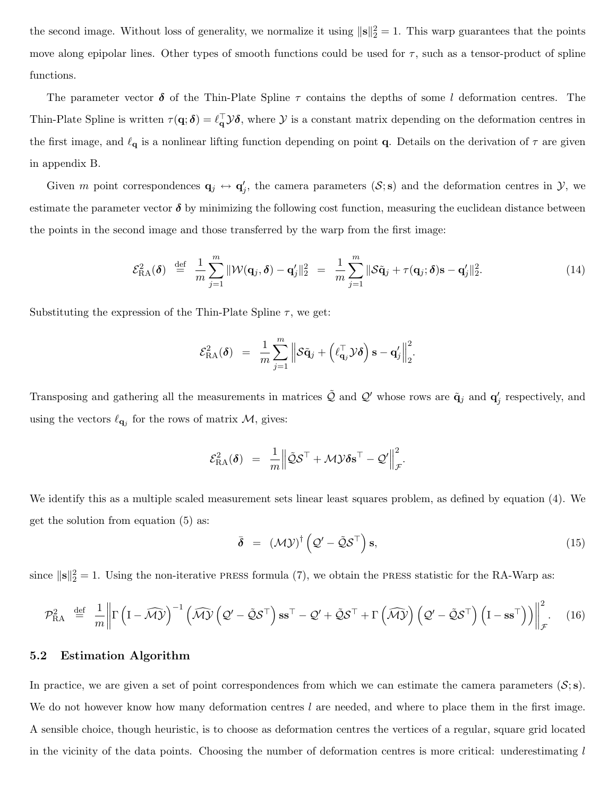the second image. Without loss of generality, we normalize it using  $\|\mathbf{s}\|_2^2 = 1$ . This warp guarantees that the points move along epipolar lines. Other types of smooth functions could be used for  $\tau$ , such as a tensor-product of spline functions.

The parameter vector  $\delta$  of the Thin-Plate Spline  $\tau$  contains the depths of some l deformation centres. The Thin-Plate Spline is written  $\tau(\mathbf{q}; \delta) = \ell_{\mathbf{q}}^{\top} \mathcal{Y} \delta$ , where  $\mathcal{Y}$  is a constant matrix depending on the deformation centres in the first image, and  $\ell_q$  is a nonlinear lifting function depending on point q. Details on the derivation of  $\tau$  are given in appendix B.

Given m point correspondences  $\mathbf{q}_j \leftrightarrow \mathbf{q}'_j$ , the camera parameters  $(\mathcal{S}; s)$  and the deformation centres in  $\mathcal{Y}$ , we estimate the parameter vector  $\delta$  by minimizing the following cost function, measuring the euclidean distance between the points in the second image and those transferred by the warp from the first image:

$$
\mathcal{E}_{\text{RA}}^2(\boldsymbol{\delta}) \stackrel{\text{def}}{=} \frac{1}{m} \sum_{j=1}^m \|\mathcal{W}(\mathbf{q}_j, \boldsymbol{\delta}) - \mathbf{q}_j'\|_2^2 = \frac{1}{m} \sum_{j=1}^m \|\mathcal{S}\tilde{\mathbf{q}}_j + \tau(\mathbf{q}_j; \boldsymbol{\delta})\mathbf{s} - \mathbf{q}_j'\|_2^2.
$$
 (14)

Substituting the expression of the Thin-Plate Spline  $\tau$ , we get:

$$
\mathcal{E}_{\text{RA}}^2(\boldsymbol{\delta}) = \frac{1}{m} \sum_{j=1}^m \left\| \mathcal{S} \tilde{\mathbf{q}}_j + \left( \ell_{\mathbf{q}_j}^{\top} \mathcal{Y} \boldsymbol{\delta} \right) \mathbf{s} - \mathbf{q}_j' \right\|_2^2.
$$

Transposing and gathering all the measurements in matrices  $\tilde{Q}$  and  $Q'$  whose rows are  $\tilde{q}_j$  and  $q'_j$  respectively, and using the vectors  $\ell_{\mathbf{q}_j}$  for the rows of matrix  $\mathcal{M}$ , gives:

$$
\mathcal{E}_{\mathrm{RA}}^2(\boldsymbol{\delta}) = \frac{1}{m} \left\| \tilde{\mathcal{Q}} \mathcal{S}^\top + \mathcal{M} \mathcal{Y} \boldsymbol{\delta} \mathbf{s}^\top - \mathcal{Q}' \right\|_{\mathcal{F}}^2.
$$

We identify this as a multiple scaled measurement sets linear least squares problem, as defined by equation (4). We get the solution from equation (5) as:

$$
\bar{\boldsymbol{\delta}} = (\mathcal{M}\mathcal{Y})^{\dagger} \left( \mathcal{Q}' - \tilde{\mathcal{Q}} \mathcal{S}^{\top} \right) \mathbf{s},\tag{15}
$$

since  $\|\mathbf{s}\|_2^2 = 1$ . Using the non-iterative PRESS formula (7), we obtain the PRESS statistic for the RA-Warp as:

$$
\mathcal{P}_{\text{RA}}^2 \stackrel{\text{def}}{=} \frac{1}{m} \left\| \Gamma \left( I - \widehat{\mathcal{M}} \widehat{\mathcal{Y}} \right)^{-1} \left( \widehat{\mathcal{M}} \widehat{\mathcal{Y}} \left( \mathcal{Q}' - \tilde{\mathcal{Q}} \mathcal{S}^\top \right) \mathbf{s} \mathbf{s}^\top - \mathcal{Q}' + \tilde{\mathcal{Q}} \mathcal{S}^\top + \Gamma \left( \widehat{\mathcal{M}} \widehat{\mathcal{Y}} \right) \left( \mathcal{Q}' - \tilde{\mathcal{Q}} \mathcal{S}^\top \right) \left( I - \mathbf{s} \mathbf{s}^\top \right) \right) \right\|_{\mathcal{F}}^2. \tag{16}
$$

#### 5.2 Estimation Algorithm

In practice, we are given a set of point correspondences from which we can estimate the camera parameters  $(S; s)$ . We do not however know how many deformation centres l are needed, and where to place them in the first image. A sensible choice, though heuristic, is to choose as deformation centres the vertices of a regular, square grid located in the vicinity of the data points. Choosing the number of deformation centres is more critical: underestimating l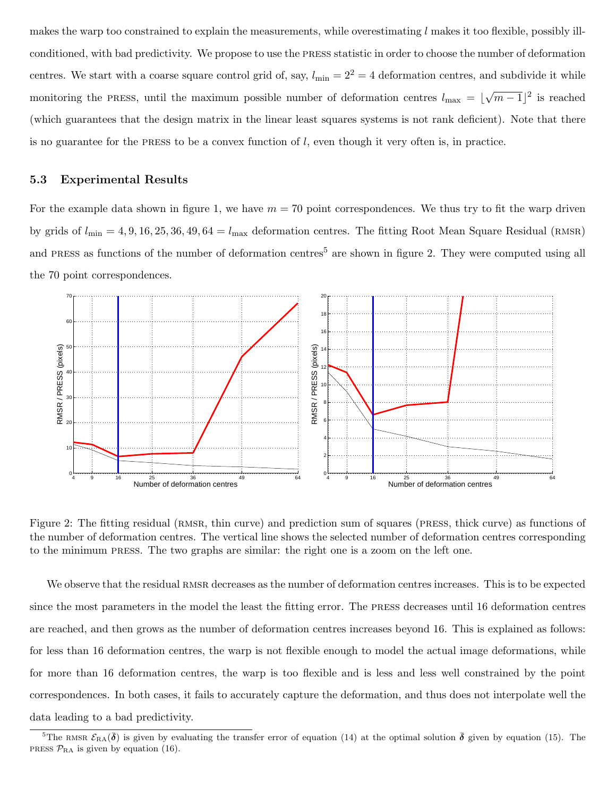makes the warp too constrained to explain the measurements, while overestimating  $l$  makes it too flexible, possibly illconditioned, with bad predictivity. We propose to use the press statistic in order to choose the number of deformation centres. We start with a coarse square control grid of, say,  $l_{\min} = 2^2 = 4$  deformation centres, and subdivide it while monitoring the PRESS, until the maximum possible number of deformation centres  $l_{\text{max}} = \lfloor \sqrt{\frac{L}{L}} \rfloor$  $\sqrt{m-1}$ <sup>2</sup> is reached (which guarantees that the design matrix in the linear least squares systems is not rank deficient). Note that there is no guarantee for the press to be a convex function of l, even though it very often is, in practice.

#### 5.3 Experimental Results

For the example data shown in figure 1, we have  $m = 70$  point correspondences. We thus try to fit the warp driven by grids of  $l_{\min} = 4, 9, 16, 25, 36, 49, 64 = l_{\max}$  deformation centres. The fitting Root Mean Square Residual (RMSR) and PRESS as functions of the number of deformation centres<sup>5</sup> are shown in figure 2. They were computed using all the 70 point correspondences.



Figure 2: The fitting residual (RMSR, thin curve) and prediction sum of squares (PRESS, thick curve) as functions of the number of deformation centres. The vertical line shows the selected number of deformation centres corresponding to the minimum press. The two graphs are similar: the right one is a zoom on the left one.

We observe that the residual RMSR decreases as the number of deformation centres increases. This is to be expected since the most parameters in the model the least the fitting error. The press decreases until 16 deformation centres are reached, and then grows as the number of deformation centres increases beyond 16. This is explained as follows: for less than 16 deformation centres, the warp is not flexible enough to model the actual image deformations, while for more than 16 deformation centres, the warp is too flexible and is less and less well constrained by the point correspondences. In both cases, it fails to accurately capture the deformation, and thus does not interpolate well the data leading to a bad predictivity.

<sup>&</sup>lt;sup>5</sup>The RMSR  $\mathcal{E}_{\text{RA}}(\bar{\delta})$  is given by evaluating the transfer error of equation (14) at the optimal solution  $\bar{\delta}$  given by equation (15). The PRESS  $\mathcal{P}_{\text{RA}}$  is given by equation (16).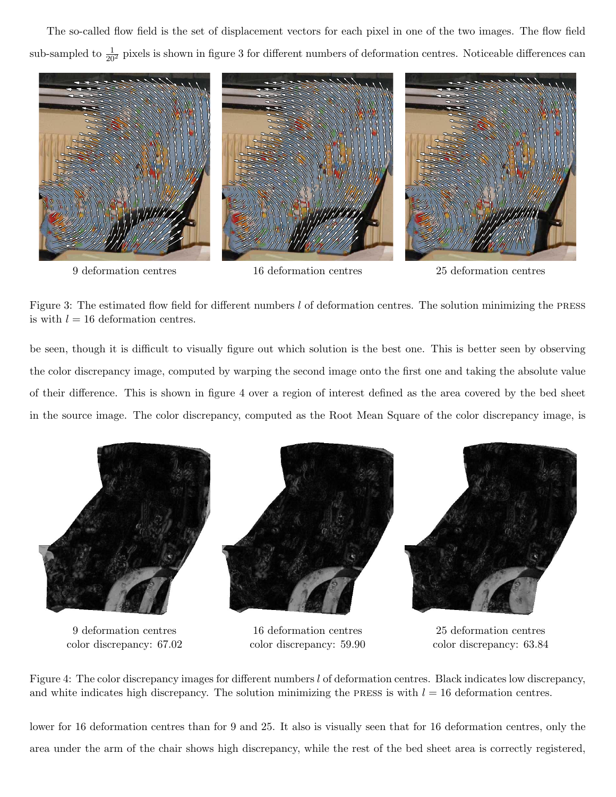The so-called flow field is the set of displacement vectors for each pixel in one of the two images. The flow field sub-sampled to  $\frac{1}{20^2}$  pixels is shown in figure 3 for different numbers of deformation centres. Noticeable differences can



Figure 3: The estimated flow field for different numbers l of deformation centres. The solution minimizing the PRESS is with  $l = 16$  deformation centres.

be seen, though it is difficult to visually figure out which solution is the best one. This is better seen by observing the color discrepancy image, computed by warping the second image onto the first one and taking the absolute value of their difference. This is shown in figure 4 over a region of interest defined as the area covered by the bed sheet in the source image. The color discrepancy, computed as the Root Mean Square of the color discrepancy image, is



9 deformation centres 16 deformation centres 25 deformation centres

color discrepancy: 67.02 color discrepancy: 59.90 color discrepancy: 63.84

Figure 4: The color discrepancy images for different numbers l of deformation centres. Black indicates low discrepancy, and white indicates high discrepancy. The solution minimizing the PRESS is with  $l = 16$  deformation centres.

lower for 16 deformation centres than for 9 and 25. It also is visually seen that for 16 deformation centres, only the area under the arm of the chair shows high discrepancy, while the rest of the bed sheet area is correctly registered,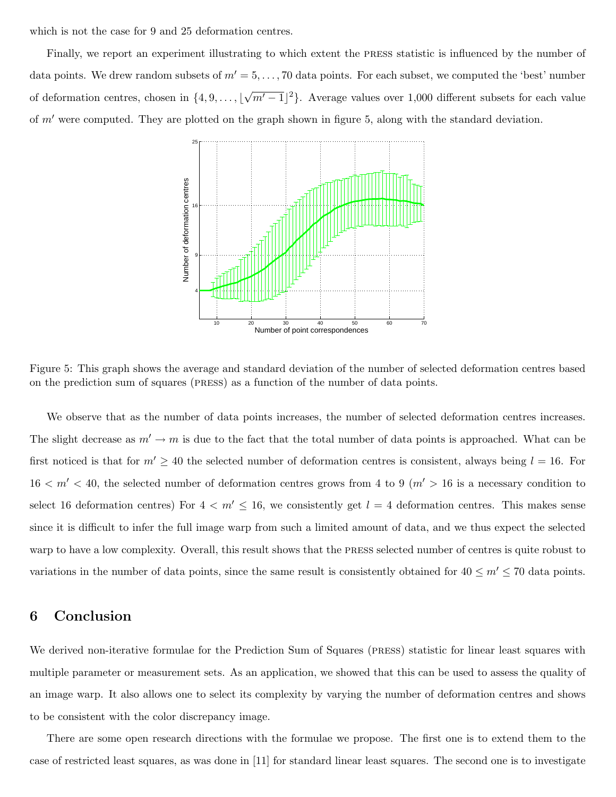which is not the case for 9 and 25 deformation centres.

Finally, we report an experiment illustrating to which extent the press statistic is influenced by the number of data points. We drew random subsets of  $m' = 5, \ldots, 70$  data points. For each subset, we computed the 'best' number of deformation centres, chosen in  $\{4, 9, \ldots, \}$ √  $\overline{m'-1}$ <sup>2</sup>. Average values over 1,000 different subsets for each value of  $m'$  were computed. They are plotted on the graph shown in figure 5, along with the standard deviation.



Figure 5: This graph shows the average and standard deviation of the number of selected deformation centres based on the prediction sum of squares (press) as a function of the number of data points.

We observe that as the number of data points increases, the number of selected deformation centres increases. The slight decrease as  $m' \to m$  is due to the fact that the total number of data points is approached. What can be first noticed is that for  $m' \geq 40$  the selected number of deformation centres is consistent, always being  $l = 16$ . For  $16 < m' < 40$ , the selected number of deformation centres grows from 4 to 9 ( $m' > 16$  is a necessary condition to select 16 deformation centres) For  $4 < m' \le 16$ , we consistently get  $l = 4$  deformation centres. This makes sense since it is difficult to infer the full image warp from such a limited amount of data, and we thus expect the selected warp to have a low complexity. Overall, this result shows that the press selected number of centres is quite robust to variations in the number of data points, since the same result is consistently obtained for  $40 \le m' \le 70$  data points.

## 6 Conclusion

We derived non-iterative formulae for the Prediction Sum of Squares (press) statistic for linear least squares with multiple parameter or measurement sets. As an application, we showed that this can be used to assess the quality of an image warp. It also allows one to select its complexity by varying the number of deformation centres and shows to be consistent with the color discrepancy image.

There are some open research directions with the formulae we propose. The first one is to extend them to the case of restricted least squares, as was done in [11] for standard linear least squares. The second one is to investigate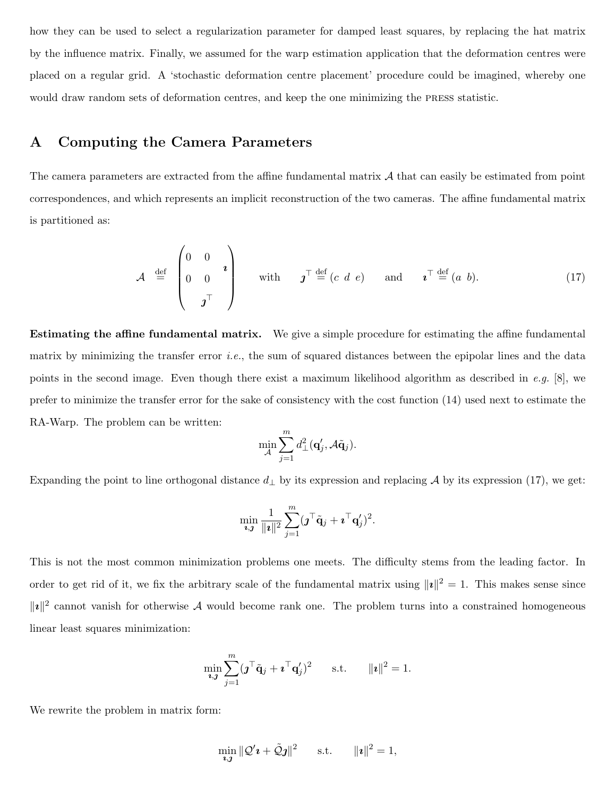how they can be used to select a regularization parameter for damped least squares, by replacing the hat matrix by the influence matrix. Finally, we assumed for the warp estimation application that the deformation centres were placed on a regular grid. A 'stochastic deformation centre placement' procedure could be imagined, whereby one would draw random sets of deformation centres, and keep the one minimizing the press statistic.

## A Computing the Camera Parameters

The camera parameters are extracted from the affine fundamental matrix  $A$  that can easily be estimated from point correspondences, and which represents an implicit reconstruction of the two cameras. The affine fundamental matrix is partitioned as:

$$
\mathcal{A} \stackrel{\text{def}}{=} \begin{pmatrix} 0 & 0 \\ 0 & 0 \\ \mathbf{J}^{\top} \end{pmatrix} \quad \text{with} \quad \mathbf{J}^{\top} \stackrel{\text{def}}{=} (c \ d \ e) \quad \text{and} \quad \mathbf{I}^{\top} \stackrel{\text{def}}{=} (a \ b).
$$
 (17)

Estimating the affine fundamental matrix. We give a simple procedure for estimating the affine fundamental matrix by minimizing the transfer error  $i.e.,$  the sum of squared distances between the epipolar lines and the data points in the second image. Even though there exist a maximum likelihood algorithm as described in  $e.g.$  [8], we prefer to minimize the transfer error for the sake of consistency with the cost function (14) used next to estimate the RA-Warp. The problem can be written:

$$
\min_{\mathcal{A}} \sum_{j=1}^m d_{\perp}^2(\mathbf{q}'_j, \mathcal{A}\tilde{\mathbf{q}}_j).
$$

Expanding the point to line orthogonal distance  $d_{\perp}$  by its expression and replacing A by its expression (17), we get:

$$
\min_{\mathbf{z}, \mathbf{y}} \frac{1}{\|\mathbf{z}\|^2} \sum_{j=1}^m (\mathbf{y}^\top \tilde{\mathbf{q}}_j + \mathbf{z}^\top \mathbf{q}_j')^2.
$$

This is not the most common minimization problems one meets. The difficulty stems from the leading factor. In order to get rid of it, we fix the arbitrary scale of the fundamental matrix using  $||\mathbf{z}||^2 = 1$ . This makes sense since  $||\mathbf{z}||^2$  cannot vanish for otherwise A would become rank one. The problem turns into a constrained homogeneous linear least squares minimization:

$$
\min_{\mathbf{z}, \mathbf{J}} \sum_{j=1}^m (\mathbf{J}^\top \tilde{\mathbf{q}}_j + \mathbf{\imath}^\top \mathbf{q}_j')^2 \quad \text{s.t.} \quad \|\mathbf{\imath}\|^2 = 1.
$$

We rewrite the problem in matrix form:

$$
\min_{\mathbf{z},\mathbf{y}} \|\mathcal{Q}'\mathbf{z} + \tilde{\mathcal{Q}}\mathbf{y}\|^2 \quad \text{s.t.} \quad \|\mathbf{z}\|^2 = 1,
$$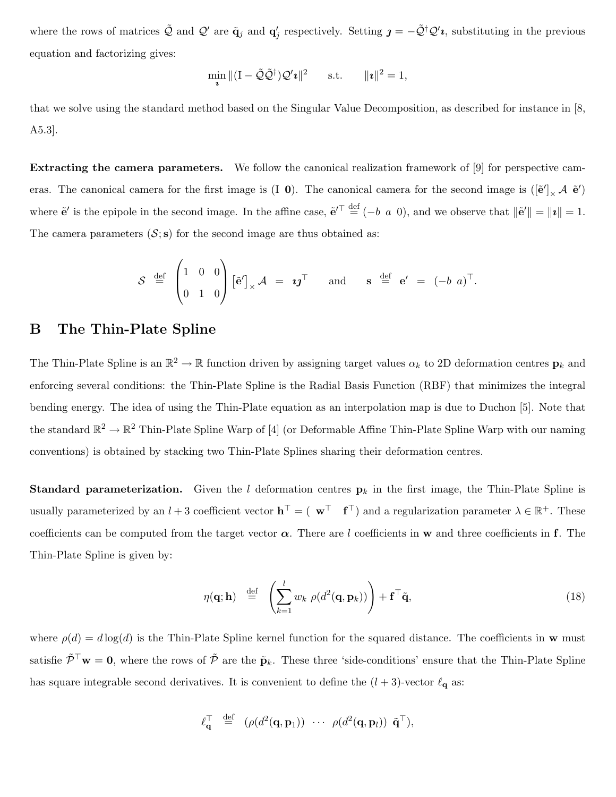where the rows of matrices  $\tilde{Q}$  and  $Q'$  are  $\tilde{q}_j$  and  $q'_j$  respectively. Setting  $j = -\tilde{Q}^\dagger Q' \imath$ , substituting in the previous equation and factorizing gives:

$$
\min_{\mathbf{z}} \|(I-\tilde{\mathcal{Q}}\tilde{\mathcal{Q}}^{\dagger})\mathcal{Q}'\mathbf{z}\|^2 \quad \text{s.t.} \quad \|\mathbf{z}\|^2 = 1,
$$

that we solve using the standard method based on the Singular Value Decomposition, as described for instance in [8, A5.3].

Extracting the camera parameters. We follow the canonical realization framework of [9] for perspective cameras. The canonical camera for the first image is (I 0). The canonical camera for the second image is  $([\tilde{\mathbf{e}}']_{\times} \mathcal{A} \tilde{\mathbf{e}}')$ where  $\tilde{\mathbf{e}}'$  is the epipole in the second image. In the affine case,  $\tilde{\mathbf{e}}'^\top \stackrel{\text{def}}{=} (-b \ a \ 0)$ , and we observe that  $\|\tilde{\mathbf{e}}'\| = \|\mathbf{z}\| = 1$ . The camera parameters  $(S; s)$  for the second image are thus obtained as:

$$
S \stackrel{\text{def}}{=} \begin{pmatrix} 1 & 0 & 0 \\ 0 & 1 & 0 \end{pmatrix} [\tilde{\mathbf{e}}']_{\times} \mathcal{A} = \mathbf{i} \mathbf{j}^{\top} \quad \text{and} \quad \mathbf{s} \stackrel{\text{def}}{=} \mathbf{e}' = (-b \ a)^{\top}.
$$

## B The Thin-Plate Spline

The Thin-Plate Spline is an  $\mathbb{R}^2 \to \mathbb{R}$  function driven by assigning target values  $\alpha_k$  to 2D deformation centres  $\mathbf{p}_k$  and enforcing several conditions: the Thin-Plate Spline is the Radial Basis Function (RBF) that minimizes the integral bending energy. The idea of using the Thin-Plate equation as an interpolation map is due to Duchon [5]. Note that the standard  $\mathbb{R}^2 \to \mathbb{R}^2$  Thin-Plate Spline Warp of [4] (or Deformable Affine Thin-Plate Spline Warp with our naming conventions) is obtained by stacking two Thin-Plate Splines sharing their deformation centres.

**Standard parameterization.** Given the l deformation centres  $\mathbf{p}_k$  in the first image, the Thin-Plate Spline is usually parameterized by an  $l+3$  coefficient vector  $\mathbf{h}^{\top} = (-\mathbf{w}^{\top} \quad \mathbf{f}^{\top})$  and a regularization parameter  $\lambda \in \mathbb{R}^+$ . These coefficients can be computed from the target vector  $\alpha$ . There are l coefficients in w and three coefficients in f. The Thin-Plate Spline is given by:

$$
\eta(\mathbf{q}; \mathbf{h}) \stackrel{\text{def}}{=} \left( \sum_{k=1}^{l} w_k \; \rho(d^2(\mathbf{q}, \mathbf{p}_k)) \right) + \mathbf{f}^\top \tilde{\mathbf{q}}, \tag{18}
$$

where  $\rho(d) = d \log(d)$  is the Thin-Plate Spline kernel function for the squared distance. The coefficients in w must satisfie  $\tilde{\mathcal{P}}^{\top}\mathbf{w}=\mathbf{0}$ , where the rows of  $\tilde{\mathcal{P}}$  are the  $\tilde{\mathbf{p}}_k$ . These three 'side-conditions' ensure that the Thin-Plate Spline has square integrable second derivatives. It is convenient to define the  $(l + 3)$ -vector  $\ell_{q}$  as:

$$
\ell_{\mathbf{q}}^{\top} \stackrel{\text{def}}{=} (\rho(d^2(\mathbf{q}, \mathbf{p}_1)) \cdots \rho(d^2(\mathbf{q}, \mathbf{p}_l)) \tilde{\mathbf{q}}^{\top}),
$$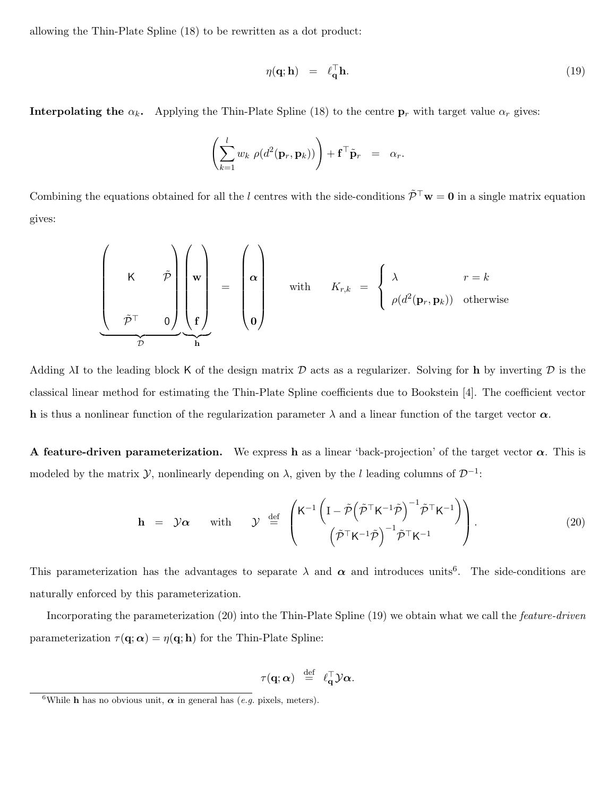allowing the Thin-Plate Spline (18) to be rewritten as a dot product:

$$
\eta(\mathbf{q}; \mathbf{h}) = \ell_{\mathbf{q}}^{\top} \mathbf{h}.\tag{19}
$$

**Interpolating the**  $\alpha_k$ **.** Applying the Thin-Plate Spline (18) to the centre  $p_r$  with target value  $\alpha_r$  gives:

$$
\left(\sum_{k=1}^l w_k \ \rho(d^2(\mathbf{p}_r, \mathbf{p}_k))\right) + \mathbf{f}^\top \tilde{\mathbf{p}}_r = \alpha_r.
$$

Combining the equations obtained for all the l centres with the side-conditions  $\tilde{\mathcal{P}}^{\top}\mathbf{w} = \mathbf{0}$  in a single matrix equation gives:

$$
\left(\begin{array}{c}\n\kappa & \tilde{\mathcal{P}} \\
\tilde{\mathcal{P}}^{\top} & 0\n\end{array}\right)\n\left(\begin{array}{c}\n\mathbf{w} \\
\mathbf{w} \\
\mathbf{f}\n\end{array}\right) = \n\left(\begin{array}{c}\n\alpha \\
\alpha \\
\mathbf{0}\n\end{array}\right) \quad \text{with} \quad K_{r,k} = \n\left\{\begin{array}{c}\n\lambda & r = k \\
\rho(d^2(\mathbf{p}_r, \mathbf{p}_k)) & \text{otherwise}\n\end{array}\right.
$$

Adding  $\lambda I$  to the leading block K of the design matrix  $\mathcal D$  acts as a regularizer. Solving for h by inverting  $\mathcal D$  is the classical linear method for estimating the Thin-Plate Spline coefficients due to Bookstein [4]. The coefficient vector h is thus a nonlinear function of the regularization parameter  $\lambda$  and a linear function of the target vector  $\alpha$ .

A feature-driven parameterization. We express h as a linear 'back-projection' of the target vector  $\alpha$ . This is modeled by the matrix  $\mathcal{Y}$ , nonlinearly depending on  $\lambda$ , given by the l leading columns of  $\mathcal{D}^{-1}$ :

$$
\mathbf{h} = \mathcal{Y}\boldsymbol{\alpha} \quad \text{with} \quad \mathcal{Y} \stackrel{\text{def}}{=} \begin{pmatrix} \mathsf{K}^{-1} \left( \mathbf{I} - \tilde{\mathcal{P}} \left( \tilde{\mathcal{P}}^{\top} \mathsf{K}^{-1} \tilde{\mathcal{P}} \right)^{-1} \tilde{\mathcal{P}}^{\top} \mathsf{K}^{-1} \right) \\ \left( \tilde{\mathcal{P}}^{\top} \mathsf{K}^{-1} \tilde{\mathcal{P}} \right)^{-1} \tilde{\mathcal{P}}^{\top} \mathsf{K}^{-1} \end{pmatrix} . \tag{20}
$$

This parameterization has the advantages to separate  $\lambda$  and  $\alpha$  and introduces units<sup>6</sup>. The side-conditions are naturally enforced by this parameterization.

Incorporating the parameterization (20) into the Thin-Plate Spline (19) we obtain what we call the *feature-driven* parameterization  $\tau(\mathbf{q}; \alpha) = \eta(\mathbf{q}; \mathbf{h})$  for the Thin-Plate Spline:

$$
\tau(\mathbf{q};\boldsymbol{\alpha}) \stackrel{\text{def}}{=} \ell_{\mathbf{q}}^{\top} \mathcal{Y} \boldsymbol{\alpha}.
$$

<sup>&</sup>lt;sup>6</sup>While **h** has no obvious unit,  $\alpha$  in general has (e.g. pixels, meters).